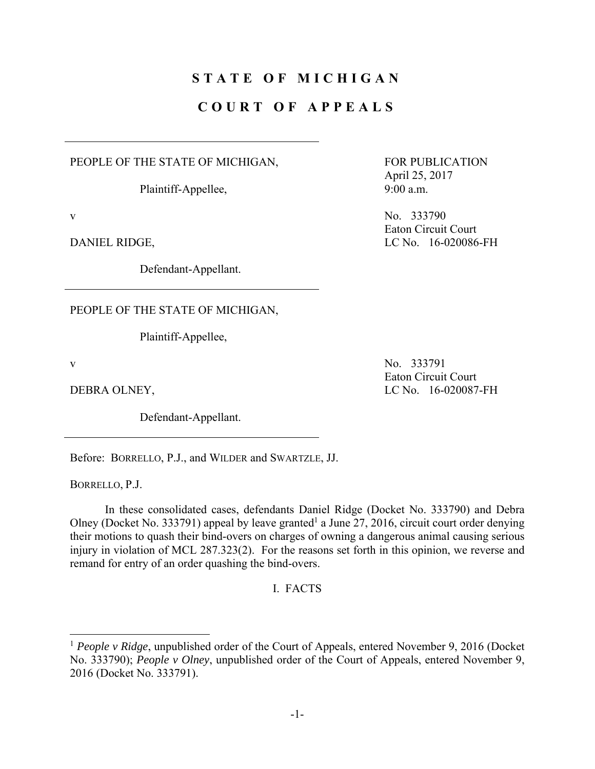## **STATE OF MICHIGAN**

## **COURT OF APPEALS**

PEOPLE OF THE STATE OF MICHIGAN,

Plaintiff-Appellee,

Defendant-Appellant.

PEOPLE OF THE STATE OF MICHIGAN,

Plaintiff-Appellee,

 $\overline{a}$ 

Defendant-Appellant.

Before: BORRELLO, P.J., and WILDER and SWARTZLE, JJ.

BORRELLO, P.J.

 In these consolidated cases, defendants Daniel Ridge (Docket No. 333790) and Debra Olney (Docket No. 333791) appeal by leave granted<sup>1</sup> a June 27, 2016, circuit court order denying their motions to quash their bind-overs on charges of owning a dangerous animal causing serious injury in violation of MCL 287.323(2). For the reasons set forth in this opinion, we reverse and remand for entry of an order quashing the bind-overs.

I. FACTS

FOR PUBLICATION April 25, 2017 9:00 a.m.

v No. 333790 Eaton Circuit Court DANIEL RIDGE, LC No. 16-020086-FH

v No. 333791 Eaton Circuit Court DEBRA OLNEY, LC No. 16-020087-FH

<sup>&</sup>lt;sup>1</sup> People v Ridge, unpublished order of the Court of Appeals, entered November 9, 2016 (Docket No. 333790); *People v Olney*, unpublished order of the Court of Appeals, entered November 9, 2016 (Docket No. 333791).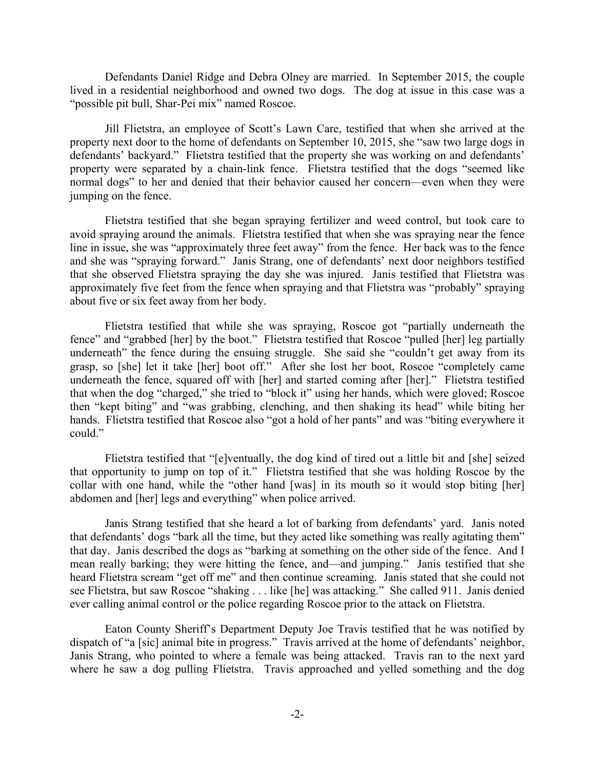Defendants Daniel Ridge and Debra Olney are married. In September 2015, the couple lived in a residential neighborhood and owned two dogs. The dog at issue in this case was a "possible pit bull, Shar-Pei mix" named Roscoe.

 Jill Flietstra, an employee of Scott's Lawn Care, testified that when she arrived at the property next door to the home of defendants on September 10, 2015, she "saw two large dogs in defendants' backyard." Flietstra testified that the property she was working on and defendants' property were separated by a chain-link fence. Flietstra testified that the dogs "seemed like normal dogs" to her and denied that their behavior caused her concern—even when they were jumping on the fence.

 Flietstra testified that she began spraying fertilizer and weed control, but took care to avoid spraying around the animals. Flietstra testified that when she was spraying near the fence line in issue, she was "approximately three feet away" from the fence. Her back was to the fence and she was "spraying forward." Janis Strang, one of defendants' next door neighbors testified that she observed Flietstra spraying the day she was injured. Janis testified that Flietstra was approximately five feet from the fence when spraying and that Flietstra was "probably" spraying about five or six feet away from her body.

 Flietstra testified that while she was spraying, Roscoe got "partially underneath the fence" and "grabbed [her] by the boot." Flietstra testified that Roscoe "pulled [her] leg partially underneath" the fence during the ensuing struggle. She said she "couldn't get away from its grasp, so [she] let it take [her] boot off." After she lost her boot, Roscoe "completely came underneath the fence, squared off with [her] and started coming after [her]." Flietstra testified that when the dog "charged," she tried to "block it" using her hands, which were gloved; Roscoe then "kept biting" and "was grabbing, clenching, and then shaking its head" while biting her hands. Flietstra testified that Roscoe also "got a hold of her pants" and was "biting everywhere it could."

 Flietstra testified that "[e]ventually, the dog kind of tired out a little bit and [she] seized that opportunity to jump on top of it." Flietstra testified that she was holding Roscoe by the collar with one hand, while the "other hand [was] in its mouth so it would stop biting [her] abdomen and [her] legs and everything" when police arrived.

 Janis Strang testified that she heard a lot of barking from defendants' yard. Janis noted that defendants' dogs "bark all the time, but they acted like something was really agitating them" that day. Janis described the dogs as "barking at something on the other side of the fence. And I mean really barking; they were hitting the fence, and—and jumping." Janis testified that she heard Flietstra scream "get off me" and then continue screaming. Janis stated that she could not see Flietstra, but saw Roscoe "shaking . . . like [he] was attacking." She called 911. Janis denied ever calling animal control or the police regarding Roscoe prior to the attack on Flietstra.

 Eaton County Sheriff's Department Deputy Joe Travis testified that he was notified by dispatch of "a [sic] animal bite in progress." Travis arrived at the home of defendants' neighbor, Janis Strang, who pointed to where a female was being attacked. Travis ran to the next yard where he saw a dog pulling Flietstra. Travis approached and yelled something and the dog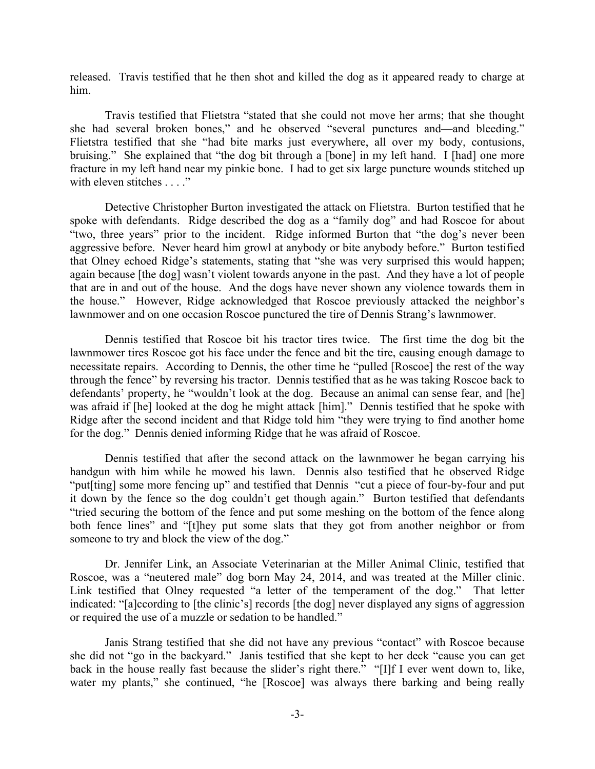released. Travis testified that he then shot and killed the dog as it appeared ready to charge at him.

 Travis testified that Flietstra "stated that she could not move her arms; that she thought she had several broken bones," and he observed "several punctures and—and bleeding." Flietstra testified that she "had bite marks just everywhere, all over my body, contusions, bruising." She explained that "the dog bit through a [bone] in my left hand. I [had] one more fracture in my left hand near my pinkie bone. I had to get six large puncture wounds stitched up with eleven stitches . . . ."

 Detective Christopher Burton investigated the attack on Flietstra. Burton testified that he spoke with defendants. Ridge described the dog as a "family dog" and had Roscoe for about "two, three years" prior to the incident. Ridge informed Burton that "the dog's never been aggressive before. Never heard him growl at anybody or bite anybody before." Burton testified that Olney echoed Ridge's statements, stating that "she was very surprised this would happen; again because [the dog] wasn't violent towards anyone in the past. And they have a lot of people that are in and out of the house. And the dogs have never shown any violence towards them in the house." However, Ridge acknowledged that Roscoe previously attacked the neighbor's lawnmower and on one occasion Roscoe punctured the tire of Dennis Strang's lawnmower.

 Dennis testified that Roscoe bit his tractor tires twice. The first time the dog bit the lawnmower tires Roscoe got his face under the fence and bit the tire, causing enough damage to necessitate repairs. According to Dennis, the other time he "pulled [Roscoe] the rest of the way through the fence" by reversing his tractor. Dennis testified that as he was taking Roscoe back to defendants' property, he "wouldn't look at the dog. Because an animal can sense fear, and [he] was afraid if [he] looked at the dog he might attack [him]." Dennis testified that he spoke with Ridge after the second incident and that Ridge told him "they were trying to find another home for the dog." Dennis denied informing Ridge that he was afraid of Roscoe.

 Dennis testified that after the second attack on the lawnmower he began carrying his handgun with him while he mowed his lawn. Dennis also testified that he observed Ridge "put[ting] some more fencing up" and testified that Dennis "cut a piece of four-by-four and put it down by the fence so the dog couldn't get though again." Burton testified that defendants "tried securing the bottom of the fence and put some meshing on the bottom of the fence along both fence lines" and "[t]hey put some slats that they got from another neighbor or from someone to try and block the view of the dog."

 Dr. Jennifer Link, an Associate Veterinarian at the Miller Animal Clinic, testified that Roscoe, was a "neutered male" dog born May 24, 2014, and was treated at the Miller clinic. Link testified that Olney requested "a letter of the temperament of the dog." That letter indicated: "[a]ccording to [the clinic's] records [the dog] never displayed any signs of aggression or required the use of a muzzle or sedation to be handled."

 Janis Strang testified that she did not have any previous "contact" with Roscoe because she did not "go in the backyard." Janis testified that she kept to her deck "cause you can get back in the house really fast because the slider's right there." "[I]f I ever went down to, like, water my plants," she continued, "he [Roscoe] was always there barking and being really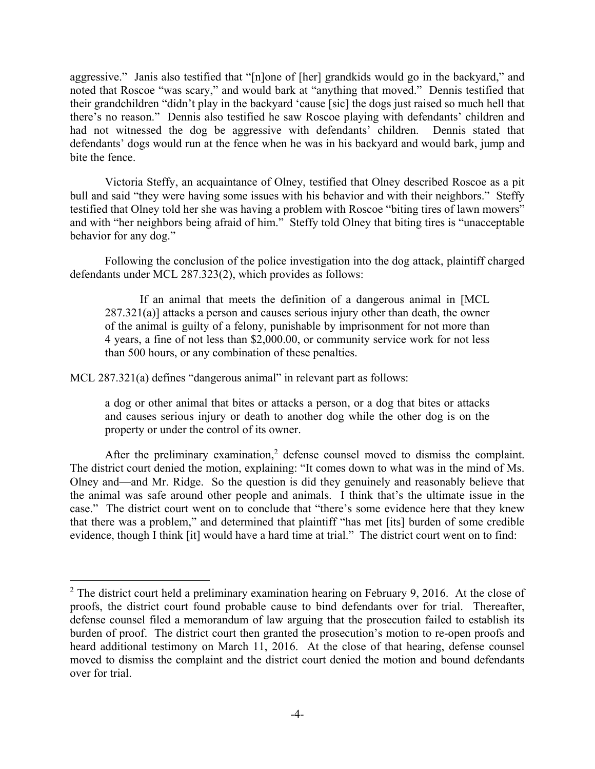aggressive." Janis also testified that "[n]one of [her] grandkids would go in the backyard," and noted that Roscoe "was scary," and would bark at "anything that moved." Dennis testified that their grandchildren "didn't play in the backyard 'cause [sic] the dogs just raised so much hell that there's no reason." Dennis also testified he saw Roscoe playing with defendants' children and had not witnessed the dog be aggressive with defendants' children. Dennis stated that defendants' dogs would run at the fence when he was in his backyard and would bark, jump and bite the fence.

 Victoria Steffy, an acquaintance of Olney, testified that Olney described Roscoe as a pit bull and said "they were having some issues with his behavior and with their neighbors." Steffy testified that Olney told her she was having a problem with Roscoe "biting tires of lawn mowers" and with "her neighbors being afraid of him." Steffy told Olney that biting tires is "unacceptable behavior for any dog."

Following the conclusion of the police investigation into the dog attack, plaintiff charged defendants under MCL 287.323(2), which provides as follows:

 If an animal that meets the definition of a dangerous animal in [MCL 287.321(a)] attacks a person and causes serious injury other than death, the owner of the animal is guilty of a felony, punishable by imprisonment for not more than 4 years, a fine of not less than \$2,000.00, or community service work for not less than 500 hours, or any combination of these penalties.

MCL 287.321(a) defines "dangerous animal" in relevant part as follows:

 $\overline{a}$ 

a dog or other animal that bites or attacks a person, or a dog that bites or attacks and causes serious injury or death to another dog while the other dog is on the property or under the control of its owner.

After the preliminary examination,<sup>2</sup> defense counsel moved to dismiss the complaint. The district court denied the motion, explaining: "It comes down to what was in the mind of Ms. Olney and—and Mr. Ridge. So the question is did they genuinely and reasonably believe that the animal was safe around other people and animals. I think that's the ultimate issue in the case." The district court went on to conclude that "there's some evidence here that they knew that there was a problem," and determined that plaintiff "has met [its] burden of some credible evidence, though I think [it] would have a hard time at trial." The district court went on to find:

 $2$  The district court held a preliminary examination hearing on February 9, 2016. At the close of proofs, the district court found probable cause to bind defendants over for trial. Thereafter, defense counsel filed a memorandum of law arguing that the prosecution failed to establish its burden of proof. The district court then granted the prosecution's motion to re-open proofs and heard additional testimony on March 11, 2016. At the close of that hearing, defense counsel moved to dismiss the complaint and the district court denied the motion and bound defendants over for trial.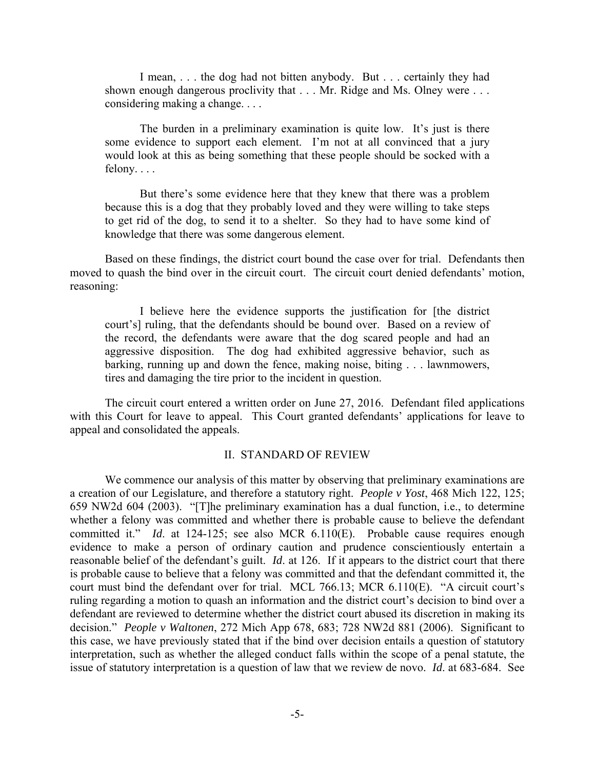I mean, . . . the dog had not bitten anybody. But . . . certainly they had shown enough dangerous proclivity that . . . Mr. Ridge and Ms. Olney were . . . considering making a change. . . .

 The burden in a preliminary examination is quite low. It's just is there some evidence to support each element. I'm not at all convinced that a jury would look at this as being something that these people should be socked with a felony. . . .

 But there's some evidence here that they knew that there was a problem because this is a dog that they probably loved and they were willing to take steps to get rid of the dog, to send it to a shelter. So they had to have some kind of knowledge that there was some dangerous element.

 Based on these findings, the district court bound the case over for trial. Defendants then moved to quash the bind over in the circuit court. The circuit court denied defendants' motion, reasoning:

 I believe here the evidence supports the justification for [the district court's] ruling, that the defendants should be bound over. Based on a review of the record, the defendants were aware that the dog scared people and had an aggressive disposition. The dog had exhibited aggressive behavior, such as barking, running up and down the fence, making noise, biting . . . lawnmowers, tires and damaging the tire prior to the incident in question.

 The circuit court entered a written order on June 27, 2016. Defendant filed applications with this Court for leave to appeal. This Court granted defendants' applications for leave to appeal and consolidated the appeals.

## II. STANDARD OF REVIEW

We commence our analysis of this matter by observing that preliminary examinations are a creation of our Legislature, and therefore a statutory right. *People v Yost*, 468 Mich 122, 125; 659 NW2d 604 (2003). "[T]he preliminary examination has a dual function, i.e., to determine whether a felony was committed and whether there is probable cause to believe the defendant committed it." *Id*. at 124-125; see also MCR 6.110(E). Probable cause requires enough evidence to make a person of ordinary caution and prudence conscientiously entertain a reasonable belief of the defendant's guilt. *Id*. at 126. If it appears to the district court that there is probable cause to believe that a felony was committed and that the defendant committed it, the court must bind the defendant over for trial. MCL 766.13; MCR 6.110(E). "A circuit court's ruling regarding a motion to quash an information and the district court's decision to bind over a defendant are reviewed to determine whether the district court abused its discretion in making its decision." *People v Waltonen*, 272 Mich App 678, 683; 728 NW2d 881 (2006). Significant to this case, we have previously stated that if the bind over decision entails a question of statutory interpretation, such as whether the alleged conduct falls within the scope of a penal statute, the issue of statutory interpretation is a question of law that we review de novo. *Id*. at 683-684. See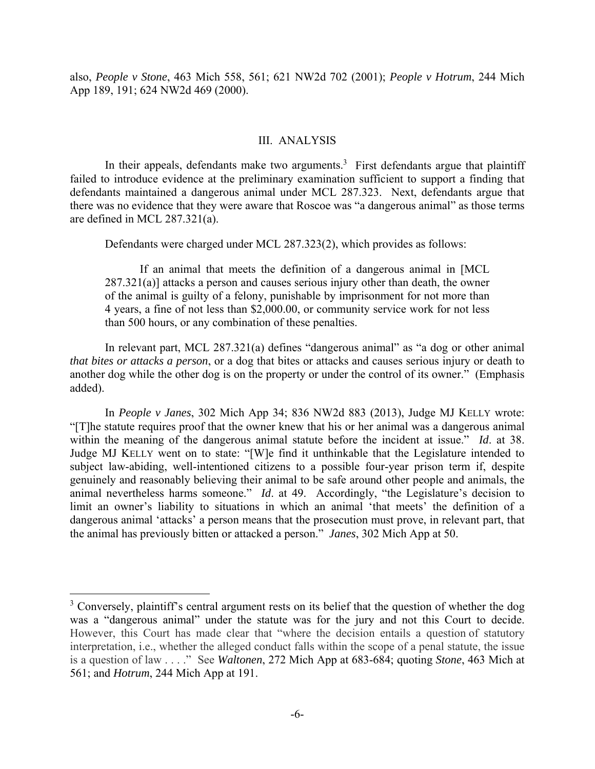also, *People v Stone*, 463 Mich 558, 561; 621 NW2d 702 (2001); *People v Hotrum*, 244 Mich App 189, 191; 624 NW2d 469 (2000).

## III. ANALYSIS

In their appeals, defendants make two arguments.<sup>3</sup> First defendants argue that plaintiff failed to introduce evidence at the preliminary examination sufficient to support a finding that defendants maintained a dangerous animal under MCL 287.323. Next, defendants argue that there was no evidence that they were aware that Roscoe was "a dangerous animal" as those terms are defined in MCL 287.321(a).

Defendants were charged under MCL 287.323(2), which provides as follows:

 If an animal that meets the definition of a dangerous animal in [MCL 287.321(a)] attacks a person and causes serious injury other than death, the owner of the animal is guilty of a felony, punishable by imprisonment for not more than 4 years, a fine of not less than \$2,000.00, or community service work for not less than 500 hours, or any combination of these penalties.

 In relevant part, MCL 287.321(a) defines "dangerous animal" as "a dog or other animal *that bites or attacks a person*, or a dog that bites or attacks and causes serious injury or death to another dog while the other dog is on the property or under the control of its owner." (Emphasis added).

 In *People v Janes*, 302 Mich App 34; 836 NW2d 883 (2013), Judge MJ KELLY wrote: "[T]he statute requires proof that the owner knew that his or her animal was a dangerous animal within the meaning of the dangerous animal statute before the incident at issue." *Id*. at 38. Judge MJ KELLY went on to state: "[W]e find it unthinkable that the Legislature intended to subject law-abiding, well-intentioned citizens to a possible four-year prison term if, despite genuinely and reasonably believing their animal to be safe around other people and animals, the animal nevertheless harms someone." *Id*. at 49. Accordingly, "the Legislature's decision to limit an owner's liability to situations in which an animal 'that meets' the definition of a dangerous animal 'attacks' a person means that the prosecution must prove, in relevant part, that the animal has previously bitten or attacked a person." *Janes*, 302 Mich App at 50.

 $\overline{a}$ 

<sup>&</sup>lt;sup>3</sup> Conversely, plaintiff's central argument rests on its belief that the question of whether the dog was a "dangerous animal" under the statute was for the jury and not this Court to decide. However, this Court has made clear that "where the decision entails a question of statutory interpretation, i.e., whether the alleged conduct falls within the scope of a penal statute, the issue is a question of law . . . ." See *Waltonen*, 272 Mich App at 683-684; quoting *Stone*, 463 Mich at 561; and *Hotrum*, 244 Mich App at 191.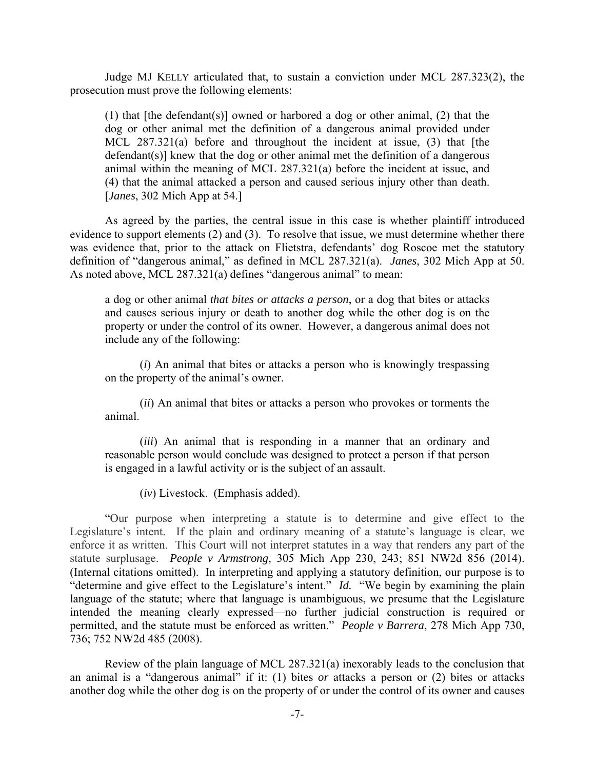Judge MJ KELLY articulated that, to sustain a conviction under MCL 287.323(2), the prosecution must prove the following elements:

(1) that [the defendant(s)] owned or harbored a dog or other animal, (2) that the dog or other animal met the definition of a dangerous animal provided under MCL 287.321(a) before and throughout the incident at issue, (3) that [the defendant(s)] knew that the dog or other animal met the definition of a dangerous animal within the meaning of MCL 287.321(a) before the incident at issue, and (4) that the animal attacked a person and caused serious injury other than death. [*Janes*, 302 Mich App at 54.]

 As agreed by the parties, the central issue in this case is whether plaintiff introduced evidence to support elements (2) and (3). To resolve that issue, we must determine whether there was evidence that, prior to the attack on Flietstra, defendants' dog Roscoe met the statutory definition of "dangerous animal," as defined in MCL 287.321(a). *Janes*, 302 Mich App at 50. As noted above, MCL 287.321(a) defines "dangerous animal" to mean:

a dog or other animal *that bites or attacks a person*, or a dog that bites or attacks and causes serious injury or death to another dog while the other dog is on the property or under the control of its owner. However, a dangerous animal does not include any of the following:

 (*i*) An animal that bites or attacks a person who is knowingly trespassing on the property of the animal's owner.

 (*ii*) An animal that bites or attacks a person who provokes or torments the animal.

 (*iii*) An animal that is responding in a manner that an ordinary and reasonable person would conclude was designed to protect a person if that person is engaged in a lawful activity or is the subject of an assault.

(*iv*) Livestock. (Emphasis added).

 "Our purpose when interpreting a statute is to determine and give effect to the Legislature's intent. If the plain and ordinary meaning of a statute's language is clear, we enforce it as written. This Court will not interpret statutes in a way that renders any part of the statute surplusage. *People v Armstrong*, 305 Mich App 230, 243; 851 NW2d 856 (2014). (Internal citations omitted). In interpreting and applying a statutory definition, our purpose is to "determine and give effect to the Legislature's intent." *Id.* "We begin by examining the plain language of the statute; where that language is unambiguous, we presume that the Legislature intended the meaning clearly expressed—no further judicial construction is required or permitted, and the statute must be enforced as written." *People v Barrera*, 278 Mich App 730, 736; 752 NW2d 485 (2008).

 Review of the plain language of MCL 287.321(a) inexorably leads to the conclusion that an animal is a "dangerous animal" if it: (1) bites *or* attacks a person or (2) bites or attacks another dog while the other dog is on the property of or under the control of its owner and causes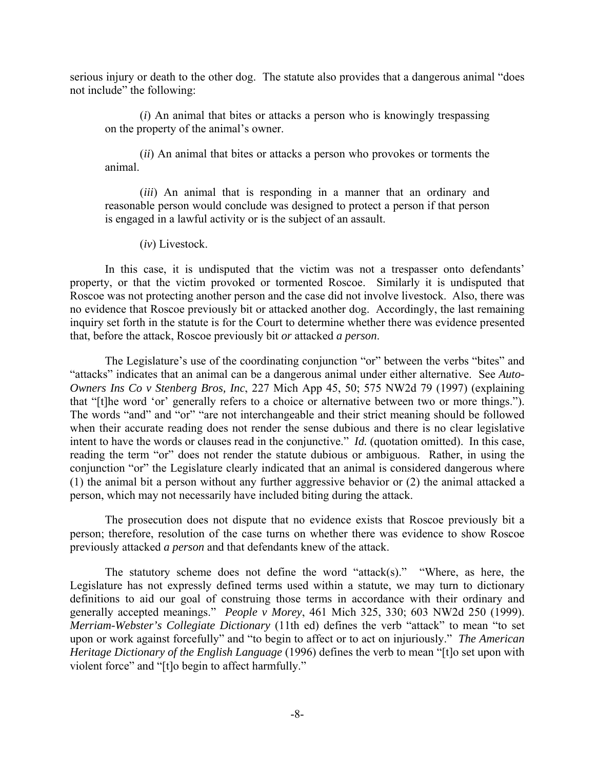serious injury or death to the other dog. The statute also provides that a dangerous animal "does not include" the following:

 (*i*) An animal that bites or attacks a person who is knowingly trespassing on the property of the animal's owner.

 (*ii*) An animal that bites or attacks a person who provokes or torments the animal.

 (*iii*) An animal that is responding in a manner that an ordinary and reasonable person would conclude was designed to protect a person if that person is engaged in a lawful activity or is the subject of an assault.

(*iv*) Livestock.

 In this case, it is undisputed that the victim was not a trespasser onto defendants' property, or that the victim provoked or tormented Roscoe. Similarly it is undisputed that Roscoe was not protecting another person and the case did not involve livestock. Also, there was no evidence that Roscoe previously bit or attacked another dog. Accordingly, the last remaining inquiry set forth in the statute is for the Court to determine whether there was evidence presented that, before the attack, Roscoe previously bit *or* attacked *a person*.

 The Legislature's use of the coordinating conjunction "or" between the verbs "bites" and "attacks" indicates that an animal can be a dangerous animal under either alternative. See *Auto-Owners Ins Co v Stenberg Bros, Inc*, 227 Mich App 45, 50; 575 NW2d 79 (1997) (explaining that "[t]he word 'or' generally refers to a choice or alternative between two or more things."). The words "and" and "or" "are not interchangeable and their strict meaning should be followed when their accurate reading does not render the sense dubious and there is no clear legislative intent to have the words or clauses read in the conjunctive." *Id.* (quotation omitted). In this case, reading the term "or" does not render the statute dubious or ambiguous. Rather, in using the conjunction "or" the Legislature clearly indicated that an animal is considered dangerous where (1) the animal bit a person without any further aggressive behavior or (2) the animal attacked a person, which may not necessarily have included biting during the attack.

 The prosecution does not dispute that no evidence exists that Roscoe previously bit a person; therefore, resolution of the case turns on whether there was evidence to show Roscoe previously attacked *a person* and that defendants knew of the attack.

 The statutory scheme does not define the word "attack(s)." "Where, as here, the Legislature has not expressly defined terms used within a statute, we may turn to dictionary definitions to aid our goal of construing those terms in accordance with their ordinary and generally accepted meanings." *People v Morey*, 461 Mich 325, 330; 603 NW2d 250 (1999). *Merriam-Webster's Collegiate Dictionary* (11th ed) defines the verb "attack" to mean "to set upon or work against forcefully" and "to begin to affect or to act on injuriously." *The American Heritage Dictionary of the English Language* (1996) defines the verb to mean "[t]o set upon with violent force" and "[t]o begin to affect harmfully."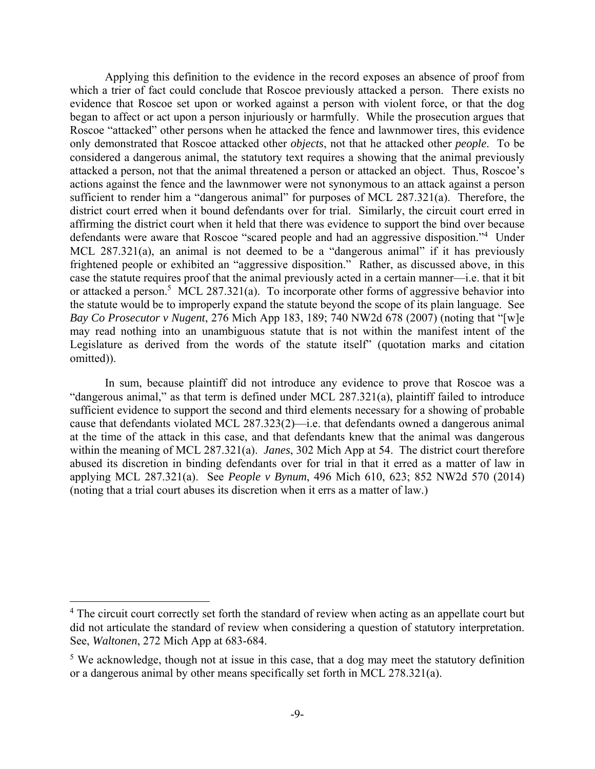Applying this definition to the evidence in the record exposes an absence of proof from which a trier of fact could conclude that Roscoe previously attacked a person. There exists no evidence that Roscoe set upon or worked against a person with violent force, or that the dog began to affect or act upon a person injuriously or harmfully. While the prosecution argues that Roscoe "attacked" other persons when he attacked the fence and lawnmower tires, this evidence only demonstrated that Roscoe attacked other *objects*, not that he attacked other *people*. To be considered a dangerous animal, the statutory text requires a showing that the animal previously attacked a person, not that the animal threatened a person or attacked an object. Thus, Roscoe's actions against the fence and the lawnmower were not synonymous to an attack against a person sufficient to render him a "dangerous animal" for purposes of MCL 287.321(a). Therefore, the district court erred when it bound defendants over for trial. Similarly, the circuit court erred in affirming the district court when it held that there was evidence to support the bind over because defendants were aware that Roscoe "scared people and had an aggressive disposition."<sup>4</sup> Under MCL 287.321(a), an animal is not deemed to be a "dangerous animal" if it has previously frightened people or exhibited an "aggressive disposition." Rather, as discussed above, in this case the statute requires proof that the animal previously acted in a certain manner—i.e. that it bit or attacked a person.<sup>5</sup> MCL 287.321(a). To incorporate other forms of aggressive behavior into the statute would be to improperly expand the statute beyond the scope of its plain language. See *Bay Co Prosecutor v Nugent*, 276 Mich App 183, 189; 740 NW2d 678 (2007) (noting that "[w]e may read nothing into an unambiguous statute that is not within the manifest intent of the Legislature as derived from the words of the statute itself" (quotation marks and citation omitted)).

 In sum, because plaintiff did not introduce any evidence to prove that Roscoe was a "dangerous animal," as that term is defined under MCL 287.321(a), plaintiff failed to introduce sufficient evidence to support the second and third elements necessary for a showing of probable cause that defendants violated MCL 287.323(2)—i.e. that defendants owned a dangerous animal at the time of the attack in this case, and that defendants knew that the animal was dangerous within the meaning of MCL 287.321(a). *Janes*, 302 Mich App at 54. The district court therefore abused its discretion in binding defendants over for trial in that it erred as a matter of law in applying MCL 287.321(a). See *People v Bynum*, 496 Mich 610, 623; 852 NW2d 570 (2014) (noting that a trial court abuses its discretion when it errs as a matter of law.)

 $\overline{a}$ 

<sup>&</sup>lt;sup>4</sup> The circuit court correctly set forth the standard of review when acting as an appellate court but did not articulate the standard of review when considering a question of statutory interpretation. See, *Waltonen*, 272 Mich App at 683-684.

<sup>&</sup>lt;sup>5</sup> We acknowledge, though not at issue in this case, that a dog may meet the statutory definition or a dangerous animal by other means specifically set forth in MCL 278.321(a).